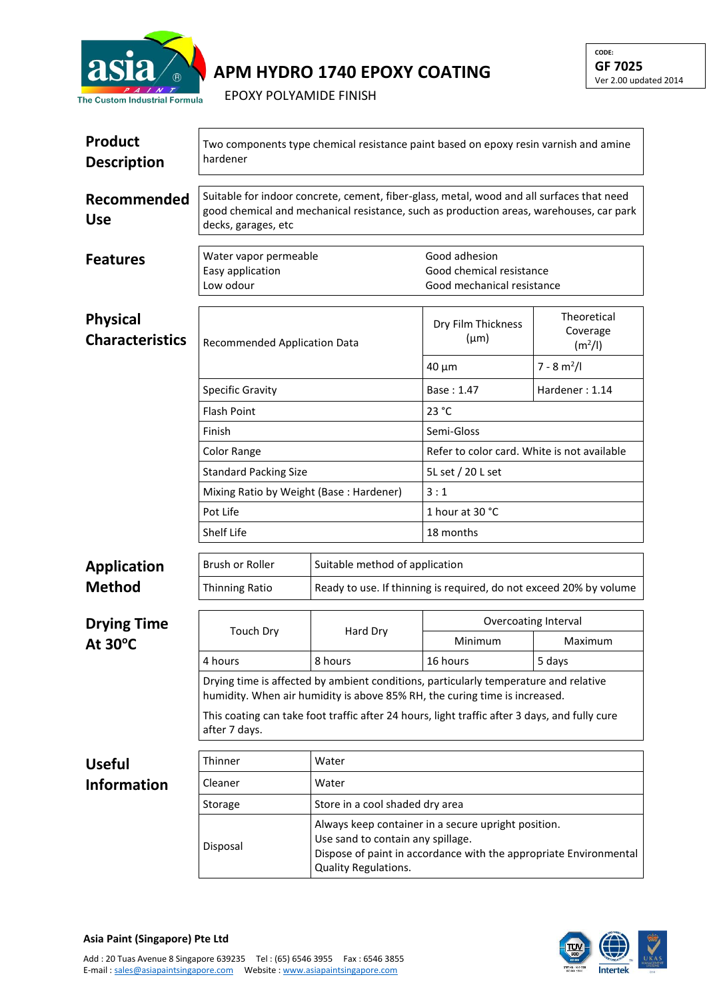

## **APM HYDRO 1740 EPOXY COATING**

EPOXY POLYAMIDE FINISH

| <b>Product</b><br><b>Description</b>      | Two components type chemical resistance paint based on epoxy resin varnish and amine<br>hardener                                                                                                            |                                                                                                                                                                                       |                                                                         |                                                |  |  |
|-------------------------------------------|-------------------------------------------------------------------------------------------------------------------------------------------------------------------------------------------------------------|---------------------------------------------------------------------------------------------------------------------------------------------------------------------------------------|-------------------------------------------------------------------------|------------------------------------------------|--|--|
| Recommended<br><b>Use</b>                 | Suitable for indoor concrete, cement, fiber-glass, metal, wood and all surfaces that need<br>good chemical and mechanical resistance, such as production areas, warehouses, car park<br>decks, garages, etc |                                                                                                                                                                                       |                                                                         |                                                |  |  |
| <b>Features</b>                           | Water vapor permeable<br>Easy application<br>Low odour                                                                                                                                                      |                                                                                                                                                                                       | Good adhesion<br>Good chemical resistance<br>Good mechanical resistance |                                                |  |  |
| <b>Physical</b><br><b>Characteristics</b> | Recommended Application Data                                                                                                                                                                                |                                                                                                                                                                                       | Dry Film Thickness<br>$(\mu m)$                                         | Theoretical<br>Coverage<br>(m <sup>2</sup> /I) |  |  |
|                                           |                                                                                                                                                                                                             |                                                                                                                                                                                       | 40 µm                                                                   | $7 - 8 m2/I$                                   |  |  |
|                                           | <b>Specific Gravity</b>                                                                                                                                                                                     |                                                                                                                                                                                       | Base: 1.47                                                              | Hardener: 1.14                                 |  |  |
|                                           | <b>Flash Point</b>                                                                                                                                                                                          |                                                                                                                                                                                       | 23 °C                                                                   |                                                |  |  |
|                                           | Finish                                                                                                                                                                                                      |                                                                                                                                                                                       | Semi-Gloss                                                              |                                                |  |  |
|                                           | Color Range                                                                                                                                                                                                 |                                                                                                                                                                                       | Refer to color card. White is not available                             |                                                |  |  |
|                                           | <b>Standard Packing Size</b>                                                                                                                                                                                |                                                                                                                                                                                       | 5L set / 20 L set                                                       |                                                |  |  |
|                                           | Mixing Ratio by Weight (Base: Hardener)                                                                                                                                                                     |                                                                                                                                                                                       | 3:1                                                                     |                                                |  |  |
|                                           | Pot Life                                                                                                                                                                                                    |                                                                                                                                                                                       | 1 hour at 30 °C                                                         |                                                |  |  |
|                                           | Shelf Life                                                                                                                                                                                                  |                                                                                                                                                                                       | 18 months                                                               |                                                |  |  |
|                                           | Brush or Roller<br>Suitable method of application                                                                                                                                                           |                                                                                                                                                                                       |                                                                         |                                                |  |  |
| <b>Application</b><br><b>Method</b>       |                                                                                                                                                                                                             |                                                                                                                                                                                       |                                                                         |                                                |  |  |
|                                           | Thinning Ratio                                                                                                                                                                                              | Ready to use. If thinning is required, do not exceed 20% by volume                                                                                                                    |                                                                         |                                                |  |  |
| <b>Drying Time</b><br>At 30°C             | <b>Touch Dry</b>                                                                                                                                                                                            | Hard Dry                                                                                                                                                                              | Overcoating Interval                                                    |                                                |  |  |
|                                           |                                                                                                                                                                                                             |                                                                                                                                                                                       | Minimum                                                                 | Maximum                                        |  |  |
|                                           | 4 hours                                                                                                                                                                                                     | 8 hours                                                                                                                                                                               | 16 hours                                                                | 5 days                                         |  |  |
|                                           | Drying time is affected by ambient conditions, particularly temperature and relative<br>humidity. When air humidity is above 85% RH, the curing time is increased.                                          |                                                                                                                                                                                       |                                                                         |                                                |  |  |
|                                           | This coating can take foot traffic after 24 hours, light traffic after 3 days, and fully cure<br>after 7 days.                                                                                              |                                                                                                                                                                                       |                                                                         |                                                |  |  |
| <b>Useful</b>                             | Thinner                                                                                                                                                                                                     | Water                                                                                                                                                                                 |                                                                         |                                                |  |  |
| <b>Information</b>                        | Cleaner                                                                                                                                                                                                     | Water                                                                                                                                                                                 |                                                                         |                                                |  |  |
|                                           | Storage                                                                                                                                                                                                     | Store in a cool shaded dry area                                                                                                                                                       |                                                                         |                                                |  |  |
|                                           | Disposal                                                                                                                                                                                                    | Always keep container in a secure upright position.<br>Use sand to contain any spillage.<br>Dispose of paint in accordance with the appropriate Environmental<br>Quality Regulations. |                                                                         |                                                |  |  |